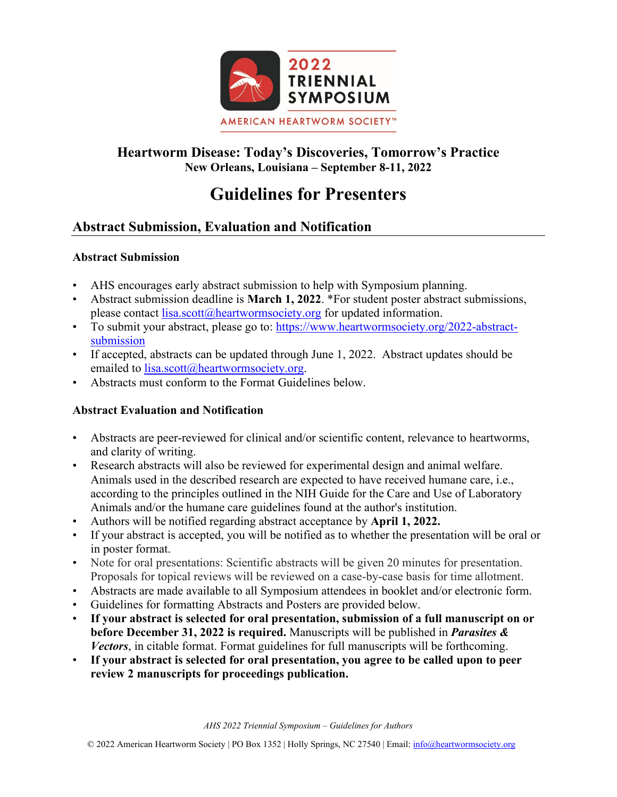

# **Heartworm Disease: Today's Discoveries, Tomorrow's Practice New Orleans, Louisiana – September 8-11, 2022**

# **Guidelines for Presenters**

# **Abstract Submission, Evaluation and Notification**

# **Abstract Submission**

- AHS encourages early abstract submission to help with Symposium planning.
- Abstract submission deadline is **March 1, 2022**. \*For student poster abstract submissions, please contact [lisa.scott@heartwormsociety.org](mailto:lisa.scott@heartwormsociety.org) for updated information.
- To submit your abstract, please go to: [https://www.heartwormsociety.org/2022-abstract](https://www.heartwormsociety.org/2022-abstract-submission)[submission](https://www.heartwormsociety.org/2022-abstract-submission)
- If accepted, abstracts can be updated through June 1, 2022. Abstract updates should be emailed to [lisa.scott@heartwormsociety.org.](mailto:lisa.scott@heartwormsociety.org)
- Abstracts must conform to the Format Guidelines below.

# **Abstract Evaluation and Notification**

- Abstracts are peer-reviewed for clinical and/or scientific content, relevance to heartworms, and clarity of writing.
- Research abstracts will also be reviewed for experimental design and animal welfare. Animals used in the described research are expected to have received humane care, i.e., according to the principles outlined in the NIH Guide for the Care and Use of Laboratory Animals and/or the humane care guidelines found at the author's institution.
- Authors will be notified regarding abstract acceptance by **April 1, 2022.**
- If your abstract is accepted, you will be notified as to whether the presentation will be oral or in poster format.
- Note for oral presentations: Scientific abstracts will be given 20 minutes for presentation. Proposals for topical reviews will be reviewed on a case-by-case basis for time allotment.
- Abstracts are made available to all Symposium attendees in booklet and/or electronic form.
- Guidelines for formatting Abstracts and Posters are provided below.
- **If your abstract is selected for oral presentation, submission of a full manuscript on or before December 31, 2022 is required.** Manuscripts will be published in *Parasites & Vectors*, in citable format. Format guidelines for full manuscripts will be forthcoming.
- **If your abstract is selected for oral presentation, you agree to be called upon to peer review 2 manuscripts for proceedings publication.**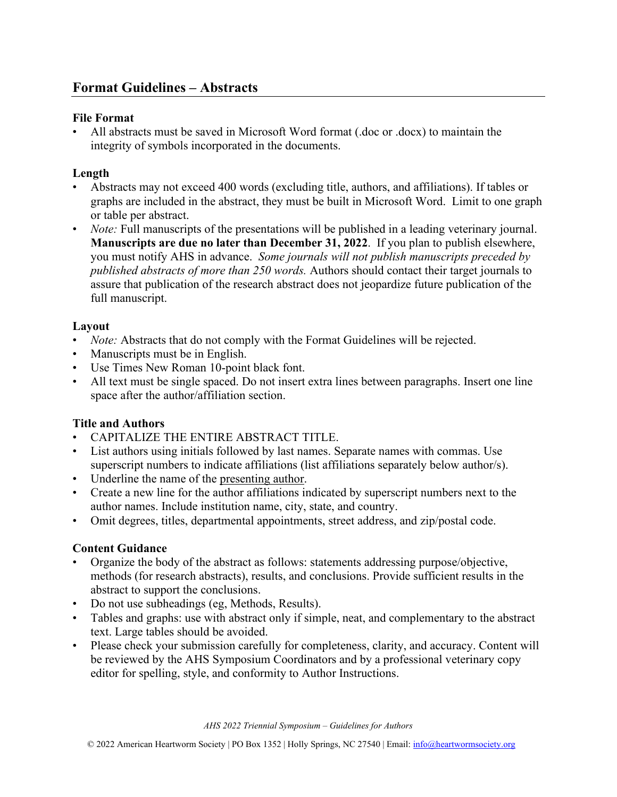#### **File Format**

• All abstracts must be saved in Microsoft Word format (.doc or .docx) to maintain the integrity of symbols incorporated in the documents.

#### **Length**

- Abstracts may not exceed 400 words (excluding title, authors, and affiliations). If tables or graphs are included in the abstract, they must be built in Microsoft Word. Limit to one graph or table per abstract.
- *Note:* Full manuscripts of the presentations will be published in a leading veterinary journal. **Manuscripts are due no later than December 31, 2022**. If you plan to publish elsewhere, you must notify AHS in advance. *Some journals will not publish manuscripts preceded by published abstracts of more than 250 words.* Authors should contact their target journals to assure that publication of the research abstract does not jeopardize future publication of the full manuscript.

#### **Layout**

- *Note:* Abstracts that do not comply with the Format Guidelines will be rejected.
- Manuscripts must be in English.
- Use Times New Roman 10-point black font.
- All text must be single spaced. Do not insert extra lines between paragraphs. Insert one line space after the author/affiliation section.

#### **Title and Authors**

- CAPITALIZE THE ENTIRE ABSTRACT TITLE.
- List authors using initials followed by last names. Separate names with commas. Use superscript numbers to indicate affiliations (list affiliations separately below author/s).
- Underline the name of the presenting author.
- Create a new line for the author affiliations indicated by superscript numbers next to the author names. Include institution name, city, state, and country.
- Omit degrees, titles, departmental appointments, street address, and zip/postal code.

#### **Content Guidance**

- Organize the body of the abstract as follows: statements addressing purpose/objective, methods (for research abstracts), results, and conclusions. Provide sufficient results in the abstract to support the conclusions.
- Do not use subheadings (eg, Methods, Results).
- Tables and graphs: use with abstract only if simple, neat, and complementary to the abstract text. Large tables should be avoided.
- Please check your submission carefully for completeness, clarity, and accuracy. Content will be reviewed by the AHS Symposium Coordinators and by a professional veterinary copy editor for spelling, style, and conformity to Author Instructions.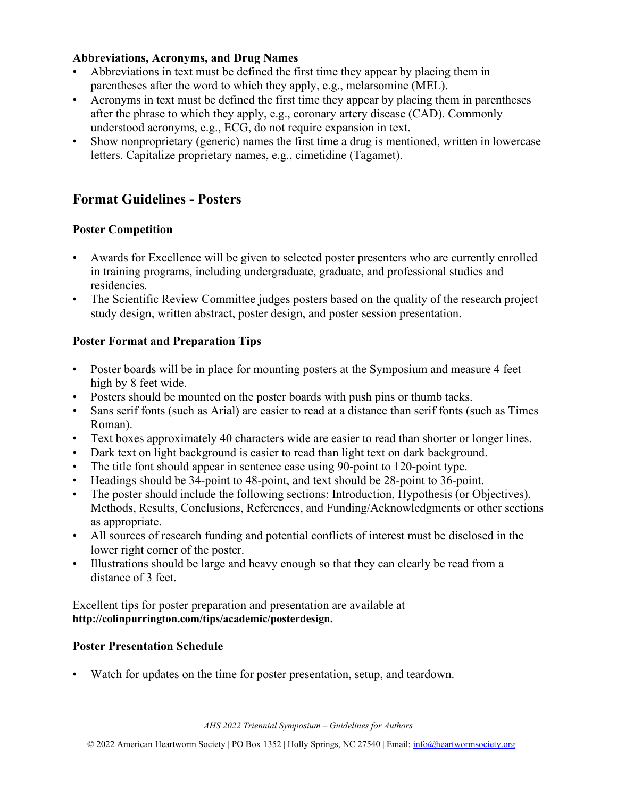#### **Abbreviations, Acronyms, and Drug Names**

- Abbreviations in text must be defined the first time they appear by placing them in parentheses after the word to which they apply, e.g., melarsomine (MEL).
- Acronyms in text must be defined the first time they appear by placing them in parentheses after the phrase to which they apply, e.g., coronary artery disease (CAD). Commonly understood acronyms, e.g., ECG, do not require expansion in text.
- Show nonproprietary (generic) names the first time a drug is mentioned, written in lowercase letters. Capitalize proprietary names, e.g., cimetidine (Tagamet).

# **Format Guidelines - Posters**

#### **Poster Competition**

- Awards for Excellence will be given to selected poster presenters who are currently enrolled in training programs, including undergraduate, graduate, and professional studies and residencies.
- The Scientific Review Committee judges posters based on the quality of the research project study design, written abstract, poster design, and poster session presentation.

#### **Poster Format and Preparation Tips**

- Poster boards will be in place for mounting posters at the Symposium and measure 4 feet high by 8 feet wide.
- Posters should be mounted on the poster boards with push pins or thumb tacks.
- Sans serif fonts (such as Arial) are easier to read at a distance than serif fonts (such as Times Roman).
- Text boxes approximately 40 characters wide are easier to read than shorter or longer lines.
- Dark text on light background is easier to read than light text on dark background.
- The title font should appear in sentence case using 90-point to 120-point type.
- Headings should be 34-point to 48-point, and text should be 28-point to 36-point.
- The poster should include the following sections: Introduction, Hypothesis (or Objectives), Methods, Results, Conclusions, References, and Funding/Acknowledgments or other sections as appropriate.
- All sources of research funding and potential conflicts of interest must be disclosed in the lower right corner of the poster.
- Illustrations should be large and heavy enough so that they can clearly be read from a distance of 3 feet.

Excellent tips for poster preparation and presentation are available at **http://colinpurrington.com/tips/academic/posterdesign.**

#### **Poster Presentation Schedule**

• Watch for updates on the time for poster presentation, setup, and teardown.